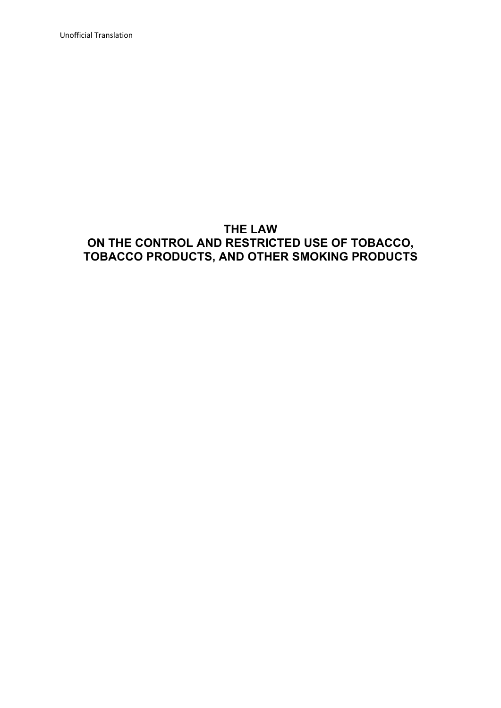Unofficial Translation

# **THE LAW ON THE CONTROL AND RESTRICTED USE OF TOBACCO, TOBACCO PRODUCTS, AND OTHER SMOKING PRODUCTS**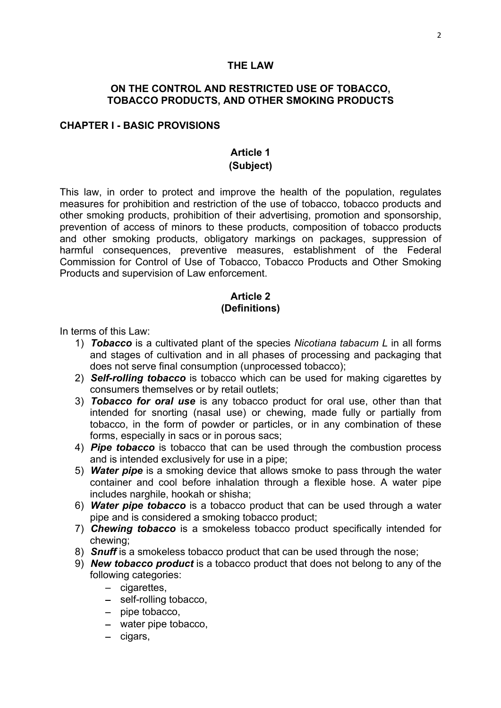#### **THE LAW**

## **ON THE CONTROL AND RESTRICTED USE OF TOBACCO, TOBACCO PRODUCTS, AND OTHER SMOKING PRODUCTS**

#### **CHAPTER I - BASIC PROVISIONS**

#### **Article 1 (Subject)**

This law, in order to protect and improve the health of the population, regulates measures for prohibition and restriction of the use of tobacco, tobacco products and other smoking products, prohibition of their advertising, promotion and sponsorship, prevention of access of minors to these products, composition of tobacco products and other smoking products, obligatory markings on packages, suppression of harmful consequences, preventive measures, establishment of the Federal Commission for Control of Use of Tobacco, Tobacco Products and Other Smoking Products and supervision of Law enforcement.

## **Article 2 (Definitions)**

In terms of this Law:

- 1) *Tobacco* is a cultivated plant of the species *Nicotiana tabacum L* in all forms and stages of cultivation and in all phases of processing and packaging that does not serve final consumption (unprocessed tobacco);
- 2) *Self-rolling tobacco* is tobacco which can be used for making cigarettes by consumers themselves or by retail outlets;
- 3) *Tobacco for oral use* is any tobacco product for oral use, other than that intended for snorting (nasal use) or chewing, made fully or partially from tobacco, in the form of powder or particles, or in any combination of these forms, especially in sacs or in porous sacs;
- 4) *Pipe tobacco* is tobacco that can be used through the combustion process and is intended exclusively for use in a pipe;
- 5) *Water pipe* is a smoking device that allows smoke to pass through the water container and cool before inhalation through a flexible hose. A water pipe includes narghile, hookah or shisha;
- 6) *Water pipe tobacco* is a tobacco product that can be used through a water pipe and is considered a smoking tobacco product;
- 7) *Chewing tobacco* is a smokeless tobacco product specifically intended for chewing;
- 8) *Snuff* is a smokeless tobacco product that can be used through the nose;
- 9) *New tobacco product* is a tobacco product that does not belong to any of the following categories:
	- cigarettes,
	- self-rolling tobacco,
	- pipe tobacco,
	- water pipe tobacco,
	- cigars,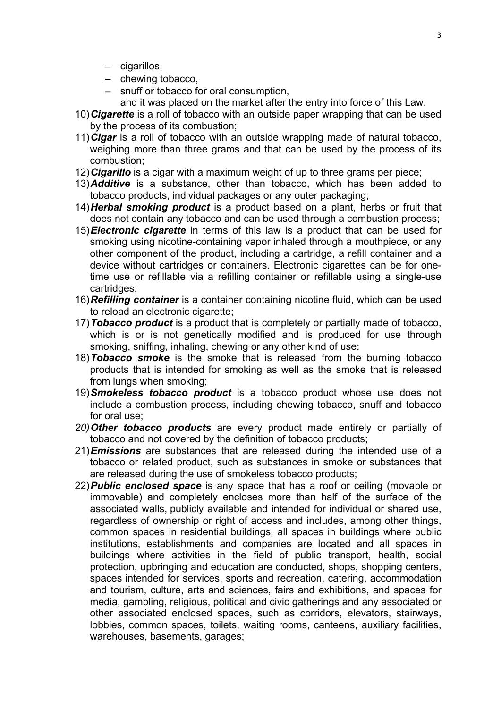- cigarillos,
- chewing tobacco,
- snuff or tobacco for oral consumption,
	- and it was placed on the market after the entry into force of this Law.
- 10)*Cigarette* is a roll of tobacco with an outside paper wrapping that can be used by the process of its combustion;
- 11)*Cigar* is a roll of tobacco with an outside wrapping made of natural tobacco, weighing more than three grams and that can be used by the process of its combustion;
- 12)*Cigarillo* is a cigar with a maximum weight of up to three grams per piece;
- 13)*Additive* is a substance, other than tobacco, which has been added to tobacco products, individual packages or any outer packaging;
- 14)*Herbal smoking product* is a product based on a plant, herbs or fruit that does not contain any tobacco and can be used through a combustion process;
- 15)*Electronic cigarette* in terms of this law is a product that can be used for smoking using nicotine-containing vapor inhaled through a mouthpiece, or any other component of the product, including a cartridge, a refill container and a device without cartridges or containers. Electronic cigarettes can be for onetime use or refillable via a refilling container or refillable using a single-use cartridges;
- 16)*Refilling container* is a container containing nicotine fluid, which can be used to reload an electronic cigarette;
- 17)*Tobacco product* is a product that is completely or partially made of tobacco, which is or is not genetically modified and is produced for use through smoking, sniffing, inhaling, chewing or any other kind of use;
- 18)*Tobacco smoke* is the smoke that is released from the burning tobacco products that is intended for smoking as well as the smoke that is released from lungs when smoking;
- 19)*Smokeless tobacco product* is a tobacco product whose use does not include a combustion process, including chewing tobacco, snuff and tobacco for oral use;
- *20)Other tobacco products* are every product made entirely or partially of tobacco and not covered by the definition of tobacco products;
- 21)*Emissions* are substances that are released during the intended use of a tobacco or related product, such as substances in smoke or substances that are released during the use of smokeless tobacco products;
- 22)*Public enclosed space* is any space that has a roof or ceiling (movable or immovable) and completely encloses more than half of the surface of the associated walls, publicly available and intended for individual or shared use, regardless of ownership or right of access and includes, among other things, common spaces in residential buildings, all spaces in buildings where public institutions, establishments and companies are located and all spaces in buildings where activities in the field of public transport, health, social protection, upbringing and education are conducted, shops, shopping centers, spaces intended for services, sports and recreation, catering, accommodation and tourism, culture, arts and sciences, fairs and exhibitions, and spaces for media, gambling, religious, political and civic gatherings and any associated or other associated enclosed spaces, such as corridors, elevators, stairways, lobbies, common spaces, toilets, waiting rooms, canteens, auxiliary facilities, warehouses, basements, garages;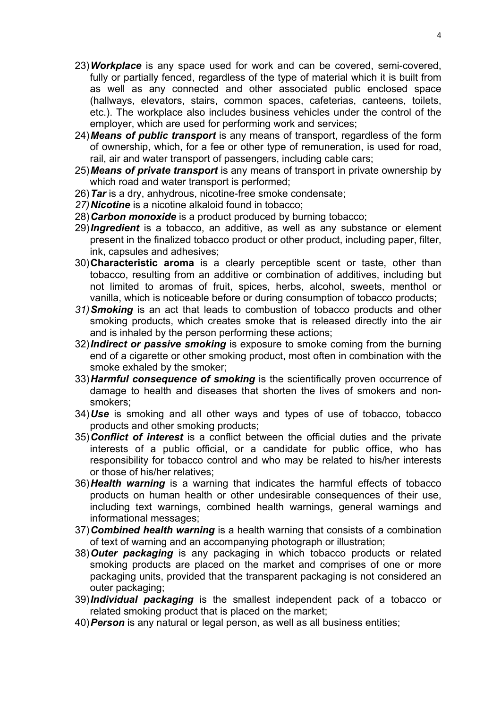- 23)*Workplace* is any space used for work and can be covered, semi-covered, fully or partially fenced, regardless of the type of material which it is built from as well as any connected and other associated public enclosed space (hallways, elevators, stairs, common spaces, cafeterias, canteens, toilets, etc.). The workplace also includes business vehicles under the control of the employer, which are used for performing work and services;
- 24)*Means of public transport* is any means of transport, regardless of the form of ownership, which, for a fee or other type of remuneration, is used for road, rail, air and water transport of passengers, including cable cars;
- 25)*Means of private transport* is any means of transport in private ownership by which road and water transport is performed;
- 26)*Tar* is a dry, anhydrous, nicotine-free smoke condensate;
- *27)Nicotine* is a nicotine alkaloid found in tobacco;
- 28)*Carbon monoxide* is a product produced by burning tobacco;
- 29)*Ingredient* is a tobacco, an additive, as well as any substance or element present in the finalized tobacco product or other product, including paper, filter, ink, capsules and adhesives;
- 30)**Characteristic aroma** is a clearly perceptible scent or taste, other than tobacco, resulting from an additive or combination of additives, including but not limited to aromas of fruit, spices, herbs, alcohol, sweets, menthol or vanilla, which is noticeable before or during consumption of tobacco products;
- *31)Smoking* is an act that leads to combustion of tobacco products and other smoking products, which creates smoke that is released directly into the air and is inhaled by the person performing these actions;
- 32)*Indirect or passive smoking* is exposure to smoke coming from the burning end of a cigarette or other smoking product, most often in combination with the smoke exhaled by the smoker;
- 33)*Harmful consequence of smoking* is the scientifically proven occurrence of damage to health and diseases that shorten the lives of smokers and nonsmokers;
- 34)*Use* is smoking and all other ways and types of use of tobacco, tobacco products and other smoking products;
- 35)*Conflict of interest* is a conflict between the official duties and the private interests of a public official, or a candidate for public office, who has responsibility for tobacco control and who may be related to his/her interests or those of his/her relatives;
- 36)*Health warning* is a warning that indicates the harmful effects of tobacco products on human health or other undesirable consequences of their use, including text warnings, combined health warnings, general warnings and informational messages;
- 37)*Combined health warning* is a health warning that consists of a combination of text of warning and an accompanying photograph or illustration;
- 38)*Outer packaging* is any packaging in which tobacco products or related smoking products are placed on the market and comprises of one or more packaging units, provided that the transparent packaging is not considered an outer packaging;
- 39)*Individual packaging* is the smallest independent pack of a tobacco or related smoking product that is placed on the market;
- 40)*Person* is any natural or legal person, as well as all business entities;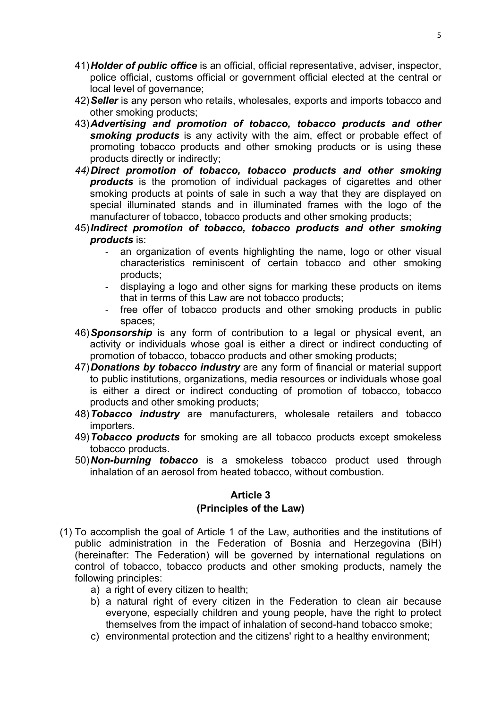- 41)*Holder of public office* is an official, official representative, adviser, inspector, police official, customs official or government official elected at the central or local level of governance:
- 42)*Seller* is any person who retails, wholesales, exports and imports tobacco and other smoking products;
- 43)*Advertising and promotion of tobacco, tobacco products and other smoking products* is any activity with the aim, effect or probable effect of promoting tobacco products and other smoking products or is using these products directly or indirectly;
- *44)Direct promotion of tobacco, tobacco products and other smoking products* is the promotion of individual packages of cigarettes and other smoking products at points of sale in such a way that they are displayed on special illuminated stands and in illuminated frames with the logo of the manufacturer of tobacco, tobacco products and other smoking products;
- 45)*Indirect promotion of tobacco, tobacco products and other smoking products* is:
	- an organization of events highlighting the name, logo or other visual characteristics reminiscent of certain tobacco and other smoking products;
	- displaying a logo and other signs for marking these products on items that in terms of this Law are not tobacco products;
	- free offer of tobacco products and other smoking products in public spaces;
- 46)*Sponsorship* is any form of contribution to a legal or physical event, an activity or individuals whose goal is either a direct or indirect conducting of promotion of tobacco, tobacco products and other smoking products;
- 47)*Donations by tobacco industry* are any form of financial or material support to public institutions, organizations, media resources or individuals whose goal is either a direct or indirect conducting of promotion of tobacco, tobacco products and other smoking products;
- 48)*Tobacco industry* are manufacturers, wholesale retailers and tobacco importers.
- 49)*Tobacco products* for smoking are all tobacco products except smokeless tobacco products.
- 50)*Non-burning tobacco* is a smokeless tobacco product used through inhalation of an aerosol from heated tobacco, without combustion.

# **(Principles of the Law)**

- (1) To accomplish the goal of Article 1 of the Law, authorities and the institutions of public administration in the Federation of Bosnia and Herzegovina (BiH) (hereinafter: The Federation) will be governed by international regulations on control of tobacco, tobacco products and other smoking products, namely the following principles:
	- a) a right of every citizen to health;
	- b) a natural right of every citizen in the Federation to clean air because everyone, especially children and young people, have the right to protect themselves from the impact of inhalation of second-hand tobacco smoke;
	- c) environmental protection and the citizens' right to a healthy environment;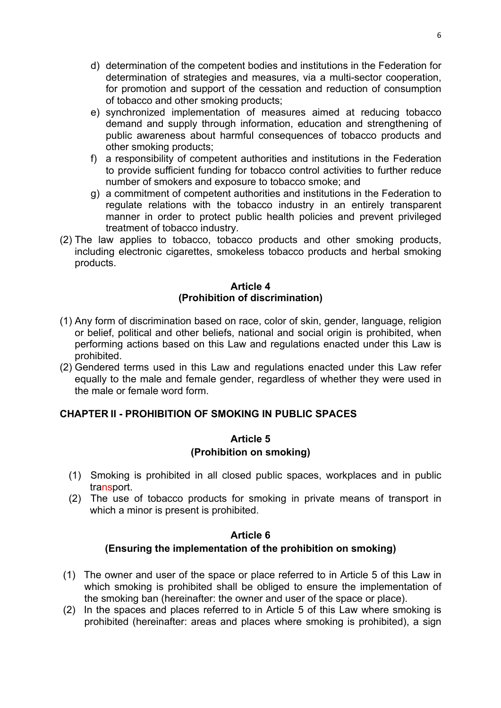- d) determination of the competent bodies and institutions in the Federation for determination of strategies and measures, via a multi-sector cooperation, for promotion and support of the cessation and reduction of consumption of tobacco and other smoking products;
- e) synchronized implementation of measures aimed at reducing tobacco demand and supply through information, education and strengthening of public awareness about harmful consequences of tobacco products and other smoking products;
- f) a responsibility of competent authorities and institutions in the Federation to provide sufficient funding for tobacco control activities to further reduce number of smokers and exposure to tobacco smoke; and
- g) a commitment of competent authorities and institutions in the Federation to regulate relations with the tobacco industry in an entirely transparent manner in order to protect public health policies and prevent privileged treatment of tobacco industry.
- (2) The law applies to tobacco, tobacco products and other smoking products, including electronic cigarettes, smokeless tobacco products and herbal smoking products.

## **Article 4 (Prohibition of discrimination)**

- (1) Any form of discrimination based on race, color of skin, gender, language, religion or belief, political and other beliefs, national and social origin is prohibited, when performing actions based on this Law and regulations enacted under this Law is prohibited.
- (2) Gendered terms used in this Law and regulations enacted under this Law refer equally to the male and female gender, regardless of whether they were used in the male or female word form.

# **CHAPTER II - PROHIBITION OF SMOKING IN PUBLIC SPACES**

## **Article 5 (Prohibition on smoking)**

- (1) Smoking is prohibited in all closed public spaces, workplaces and in public transport.
- (2) The use of tobacco products for smoking in private means of transport in which a minor is present is prohibited.

## **Article 6**

## **(Ensuring the implementation of the prohibition on smoking)**

- (1) The owner and user of the space or place referred to in Article 5 of this Law in which smoking is prohibited shall be obliged to ensure the implementation of the smoking ban (hereinafter: the owner and user of the space or place).
- (2) In the spaces and places referred to in Article 5 of this Law where smoking is prohibited (hereinafter: areas and places where smoking is prohibited), a sign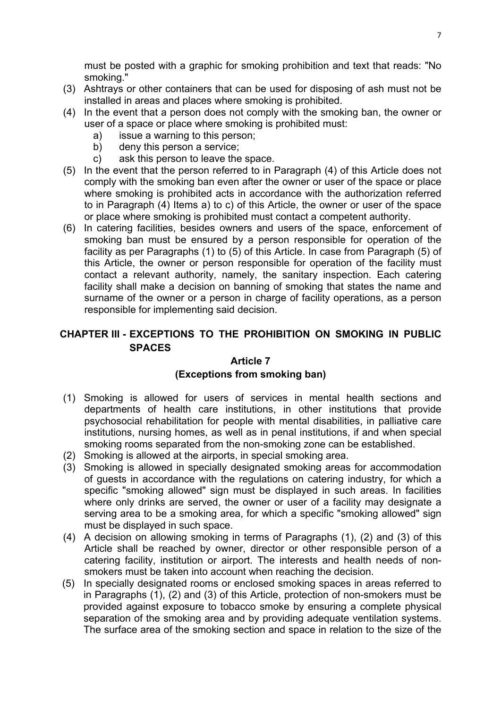must be posted with a graphic for smoking prohibition and text that reads: "No smoking."

- (3) Ashtrays or other containers that can be used for disposing of ash must not be installed in areas and places where smoking is prohibited.
- (4) In the event that a person does not comply with the smoking ban, the owner or user of a space or place where smoking is prohibited must:
	- a) issue a warning to this person;
	- b) deny this person a service;
	- c) ask this person to leave the space.
- (5) In the event that the person referred to in Paragraph (4) of this Article does not comply with the smoking ban even after the owner or user of the space or place where smoking is prohibited acts in accordance with the authorization referred to in Paragraph (4) Items a) to c) of this Article, the owner or user of the space or place where smoking is prohibited must contact a competent authority.
- (6) In catering facilities, besides owners and users of the space, enforcement of smoking ban must be ensured by a person responsible for operation of the facility as per Paragraphs (1) to (5) of this Article. In case from Paragraph (5) of this Article, the owner or person responsible for operation of the facility must contact a relevant authority, namely, the sanitary inspection. Each catering facility shall make a decision on banning of smoking that states the name and surname of the owner or a person in charge of facility operations, as a person responsible for implementing said decision.

# **CHAPTER III - EXCEPTIONS TO THE PROHIBITION ON SMOKING IN PUBLIC SPACES**

## **Article 7**

## **(Exceptions from smoking ban)**

- (1) Smoking is allowed for users of services in mental health sections and departments of health care institutions, in other institutions that provide psychosocial rehabilitation for people with mental disabilities, in palliative care institutions, nursing homes, as well as in penal institutions, if and when special smoking rooms separated from the non-smoking zone can be established.
- (2) Smoking is allowed at the airports, in special smoking area.
- (3) Smoking is allowed in specially designated smoking areas for accommodation of guests in accordance with the regulations on catering industry, for which a specific "smoking allowed" sign must be displayed in such areas. In facilities where only drinks are served, the owner or user of a facility may designate a serving area to be a smoking area, for which a specific "smoking allowed" sign must be displayed in such space.
- (4) A decision on allowing smoking in terms of Paragraphs (1), (2) and (3) of this Article shall be reached by owner, director or other responsible person of a catering facility, institution or airport. The interests and health needs of nonsmokers must be taken into account when reaching the decision.
- (5) In specially designated rooms or enclosed smoking spaces in areas referred to in Paragraphs (1), (2) and (3) of this Article, protection of non-smokers must be provided against exposure to tobacco smoke by ensuring a complete physical separation of the smoking area and by providing adequate ventilation systems. The surface area of the smoking section and space in relation to the size of the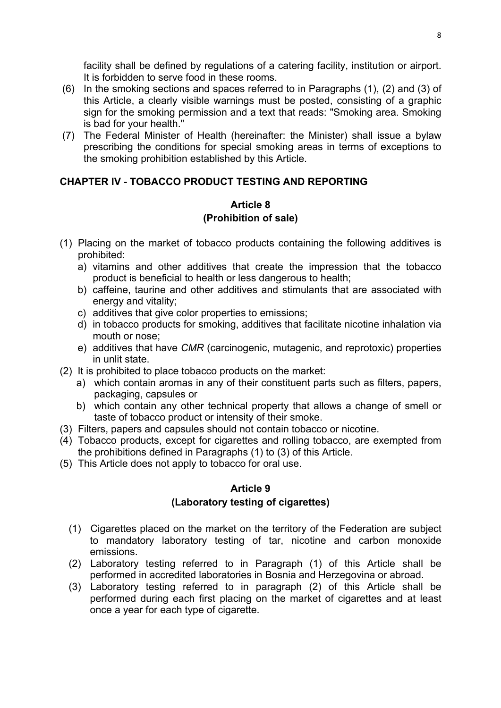facility shall be defined by regulations of a catering facility, institution or airport. It is forbidden to serve food in these rooms.

- (6) In the smoking sections and spaces referred to in Paragraphs (1), (2) and (3) of this Article, a clearly visible warnings must be posted, consisting of a graphic sign for the smoking permission and a text that reads: "Smoking area. Smoking is bad for your health."
- (7) The Federal Minister of Health (hereinafter: the Minister) shall issue a bylaw prescribing the conditions for special smoking areas in terms of exceptions to the smoking prohibition established by this Article.

# **CHAPTER IV - TOBACCO PRODUCT TESTING AND REPORTING**

# **Article 8 (Prohibition of sale)**

- (1) Placing on the market of tobacco products containing the following additives is prohibited:
	- a) vitamins and other additives that create the impression that the tobacco product is beneficial to health or less dangerous to health;
	- b) caffeine, taurine and other additives and stimulants that are associated with energy and vitality;
	- c) additives that give color properties to emissions;
	- d) in tobacco products for smoking, additives that facilitate nicotine inhalation via mouth or nose;
	- e) additives that have *CMR* (carcinogenic, mutagenic, and reprotoxic) properties in unlit state.
- (2) It is prohibited to place tobacco products on the market:
	- a) which contain aromas in any of their constituent parts such as filters, papers, packaging, capsules or
	- b) which contain any other technical property that allows a change of smell or taste of tobacco product or intensity of their smoke.
- (3) Filters, papers and capsules should not contain tobacco or nicotine.
- (4) Tobacco products, except for cigarettes and rolling tobacco, are exempted from the prohibitions defined in Paragraphs (1) to (3) of this Article.
- (5) This Article does not apply to tobacco for oral use.

# **Article 9**

# **(Laboratory testing of cigarettes)**

- (1) Cigarettes placed on the market on the territory of the Federation are subject to mandatory laboratory testing of tar, nicotine and carbon monoxide emissions.
- (2) Laboratory testing referred to in Paragraph (1) of this Article shall be performed in accredited laboratories in Bosnia and Herzegovina or abroad.
- (3) Laboratory testing referred to in paragraph (2) of this Article shall be performed during each first placing on the market of cigarettes and at least once a year for each type of cigarette.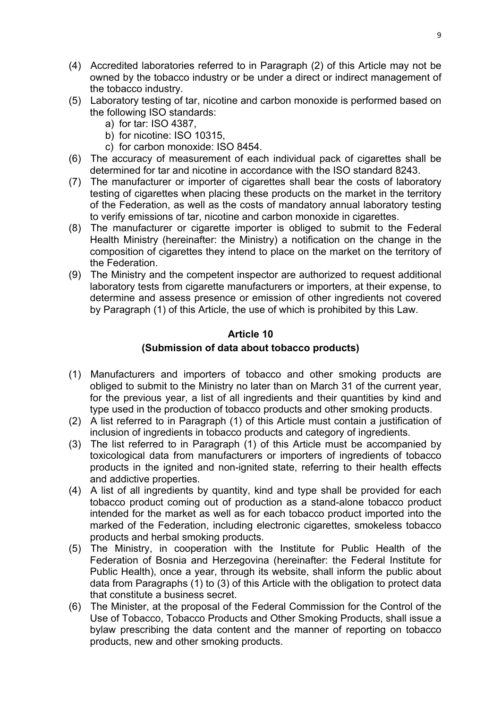- (4) Accredited laboratories referred to in Paragraph (2) of this Article may not be owned by the tobacco industry or be under a direct or indirect management of the tobacco industry.
- (5) Laboratory testing of tar, nicotine and carbon monoxide is performed based on the following ISO standards:
	- a) for tar: ISO 4387,
	- b) for nicotine: ISO 10315,
	- c) for carbon monoxide: ISO 8454.
- (6) The accuracy of measurement of each individual pack of cigarettes shall be determined for tar and nicotine in accordance with the ISO standard 8243.
- (7) The manufacturer or importer of cigarettes shall bear the costs of laboratory testing of cigarettes when placing these products on the market in the territory of the Federation, as well as the costs of mandatory annual laboratory testing to verify emissions of tar, nicotine and carbon monoxide in cigarettes.
- (8) The manufacturer or cigarette importer is obliged to submit to the Federal Health Ministry (hereinafter: the Ministry) a notification on the change in the composition of cigarettes they intend to place on the market on the territory of the Federation.
- (9) The Ministry and the competent inspector are authorized to request additional laboratory tests from cigarette manufacturers or importers, at their expense, to determine and assess presence or emission of other ingredients not covered by Paragraph (1) of this Article, the use of which is prohibited by this Law.

# **(Submission of data about tobacco products)**

- (1) Manufacturers and importers of tobacco and other smoking products are obliged to submit to the Ministry no later than on March 31 of the current year, for the previous year, a list of all ingredients and their quantities by kind and type used in the production of tobacco products and other smoking products.
- (2) A list referred to in Paragraph (1) of this Article must contain a justification of inclusion of ingredients in tobacco products and category of ingredients.
- (3) The list referred to in Paragraph (1) of this Article must be accompanied by toxicological data from manufacturers or importers of ingredients of tobacco products in the ignited and non-ignited state, referring to their health effects and addictive properties.
- (4) A list of all ingredients by quantity, kind and type shall be provided for each tobacco product coming out of production as a stand-alone tobacco product intended for the market as well as for each tobacco product imported into the marked of the Federation, including electronic cigarettes, smokeless tobacco products and herbal smoking products.
- (5) The Ministry, in cooperation with the Institute for Public Health of the Federation of Bosnia and Herzegovina (hereinafter: the Federal Institute for Public Health), once a year, through its website, shall inform the public about data from Paragraphs (1) to (3) of this Article with the obligation to protect data that constitute a business secret.
- (6) The Minister, at the proposal of the Federal Commission for the Control of the Use of Tobacco, Tobacco Products and Other Smoking Products, shall issue a bylaw prescribing the data content and the manner of reporting on tobacco products, new and other smoking products.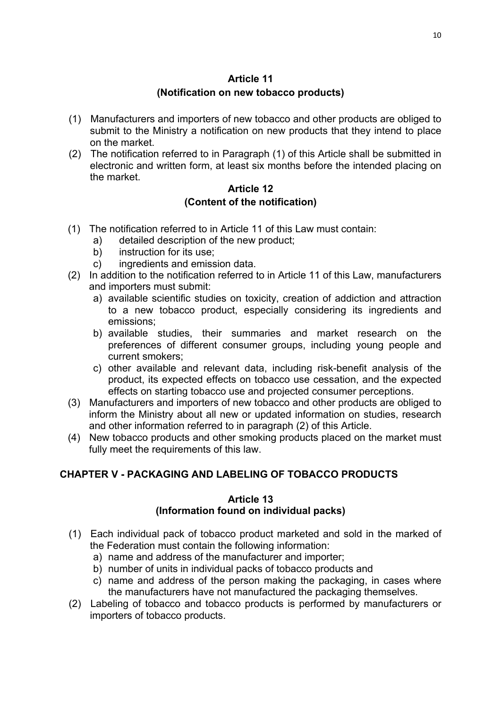## **Article 11 (Notification on new tobacco products)**

- (1) Manufacturers and importers of new tobacco and other products are obliged to submit to the Ministry a notification on new products that they intend to place on the market.
- (2) The notification referred to in Paragraph (1) of this Article shall be submitted in electronic and written form, at least six months before the intended placing on the market.

# **Article 12 (Content of the notification)**

- (1) The notification referred to in Article 11 of this Law must contain:
	- a) detailed description of the new product;
	- b) instruction for its use;
	- c) ingredients and emission data.
- (2) In addition to the notification referred to in Article 11 of this Law, manufacturers and importers must submit:
	- a) available scientific studies on toxicity, creation of addiction and attraction to a new tobacco product, especially considering its ingredients and emissions;
	- b) available studies, their summaries and market research on the preferences of different consumer groups, including young people and current smokers;
	- c) other available and relevant data, including risk-benefit analysis of the product, its expected effects on tobacco use cessation, and the expected effects on starting tobacco use and projected consumer perceptions.
- (3) Manufacturers and importers of new tobacco and other products are obliged to inform the Ministry about all new or updated information on studies, research and other information referred to in paragraph (2) of this Article.
- (4) New tobacco products and other smoking products placed on the market must fully meet the requirements of this law.

# **CHAPTER V - PACKAGING AND LABELING OF TOBACCO PRODUCTS**

## **Article 13 (Information found on individual packs)**

- (1) Each individual pack of tobacco product marketed and sold in the marked of the Federation must contain the following information:
	- a) name and address of the manufacturer and importer;
	- b) number of units in individual packs of tobacco products and
	- c) name and address of the person making the packaging, in cases where the manufacturers have not manufactured the packaging themselves.
- (2) Labeling of tobacco and tobacco products is performed by manufacturers or importers of tobacco products.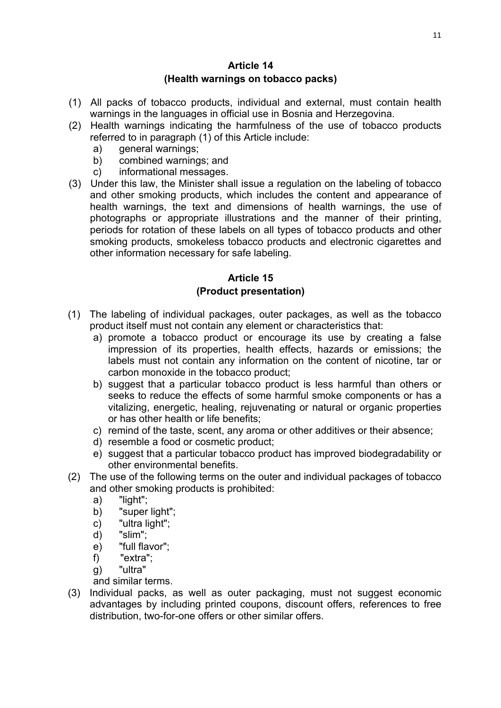### **Article 14 (Health warnings on tobacco packs)**

- (1) All packs of tobacco products, individual and external, must contain health warnings in the languages in official use in Bosnia and Herzegovina.
- (2) Health warnings indicating the harmfulness of the use of tobacco products referred to in paragraph (1) of this Article include:
	- a) general warnings;
	- b) combined warnings; and
	- c) informational messages.
- (3) Under this law, the Minister shall issue a regulation on the labeling of tobacco and other smoking products, which includes the content and appearance of health warnings, the text and dimensions of health warnings, the use of photographs or appropriate illustrations and the manner of their printing, periods for rotation of these labels on all types of tobacco products and other smoking products, smokeless tobacco products and electronic cigarettes and other information necessary for safe labeling.

# **Article 15 (Product presentation)**

- (1) The labeling of individual packages, outer packages, as well as the tobacco product itself must not contain any element or characteristics that:
	- a) promote a tobacco product or encourage its use by creating a false impression of its properties, health effects, hazards or emissions; the labels must not contain any information on the content of nicotine, tar or carbon monoxide in the tobacco product;
	- b) suggest that a particular tobacco product is less harmful than others or seeks to reduce the effects of some harmful smoke components or has a vitalizing, energetic, healing, rejuvenating or natural or organic properties or has other health or life benefits;
	- c) remind of the taste, scent, any aroma or other additives or their absence;
	- d) resemble a food or cosmetic product;
	- e) suggest that a particular tobacco product has improved biodegradability or other environmental benefits.
- (2) The use of the following terms on the outer and individual packages of tobacco and other smoking products is prohibited:
	- a) "light";
	- b) "super light";
	- c) "ultra light";
	- d) "slim";
	- e) "full flavor";
	- f) "extra";
	- g) "ultra"

and similar terms.

(3) Individual packs, as well as outer packaging, must not suggest economic advantages by including printed coupons, discount offers, references to free distribution, two-for-one offers or other similar offers.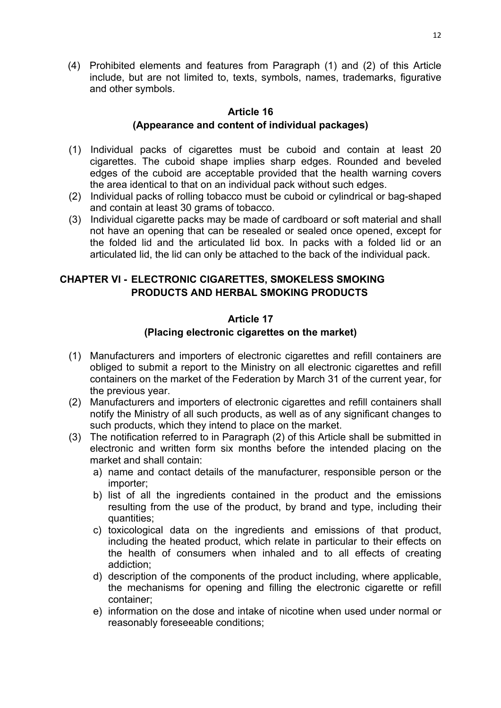(4) Prohibited elements and features from Paragraph (1) and (2) of this Article include, but are not limited to, texts, symbols, names, trademarks, figurative and other symbols.

## **Article 16 (Appearance and content of individual packages)**

- (1) Individual packs of cigarettes must be cuboid and contain at least 20 cigarettes. The cuboid shape implies sharp edges. Rounded and beveled edges of the cuboid are acceptable provided that the health warning covers the area identical to that on an individual pack without such edges.
- (2) Individual packs of rolling tobacco must be cuboid or cylindrical or bag-shaped and contain at least 30 grams of tobacco.
- (3) Individual cigarette packs may be made of cardboard or soft material and shall not have an opening that can be resealed or sealed once opened, except for the folded lid and the articulated lid box. In packs with a folded lid or an articulated lid, the lid can only be attached to the back of the individual pack.

# **CHAPTER VI - ELECTRONIC CIGARETTES, SMOKELESS SMOKING PRODUCTS AND HERBAL SMOKING PRODUCTS**

## **Article 17**

## **(Placing electronic cigarettes on the market)**

- (1) Manufacturers and importers of electronic cigarettes and refill containers are obliged to submit a report to the Ministry on all electronic cigarettes and refill containers on the market of the Federation by March 31 of the current year, for the previous year.
- (2) Manufacturers and importers of electronic cigarettes and refill containers shall notify the Ministry of all such products, as well as of any significant changes to such products, which they intend to place on the market.
- (3) The notification referred to in Paragraph (2) of this Article shall be submitted in electronic and written form six months before the intended placing on the market and shall contain:
	- a) name and contact details of the manufacturer, responsible person or the importer;
	- b) list of all the ingredients contained in the product and the emissions resulting from the use of the product, by brand and type, including their quantities;
	- c) toxicological data on the ingredients and emissions of that product, including the heated product, which relate in particular to their effects on the health of consumers when inhaled and to all effects of creating addiction;
	- d) description of the components of the product including, where applicable, the mechanisms for opening and filling the electronic cigarette or refill container;
	- e) information on the dose and intake of nicotine when used under normal or reasonably foreseeable conditions;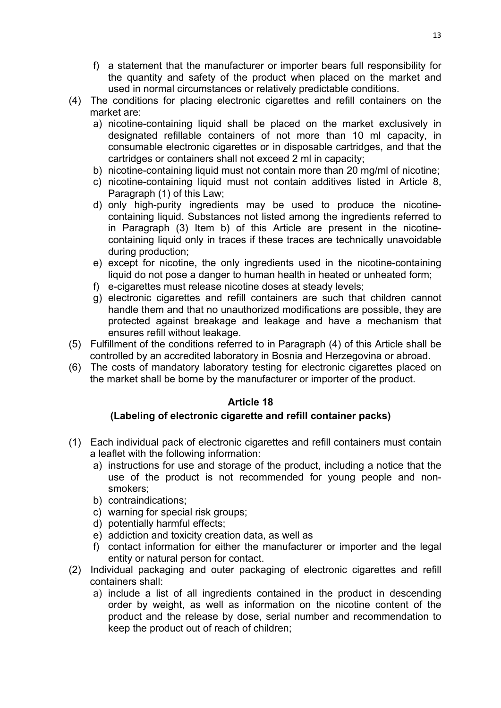- f) a statement that the manufacturer or importer bears full responsibility for the quantity and safety of the product when placed on the market and used in normal circumstances or relatively predictable conditions.
- (4) The conditions for placing electronic cigarettes and refill containers on the market are:
	- a) nicotine-containing liquid shall be placed on the market exclusively in designated refillable containers of not more than 10 ml capacity, in consumable electronic cigarettes or in disposable cartridges, and that the cartridges or containers shall not exceed 2 ml in capacity;
	- b) nicotine-containing liquid must not contain more than 20 mg/ml of nicotine;
	- c) nicotine-containing liquid must not contain additives listed in Article 8, Paragraph (1) of this Law;
	- d) only high-purity ingredients may be used to produce the nicotinecontaining liquid. Substances not listed among the ingredients referred to in Paragraph (3) Item b) of this Article are present in the nicotinecontaining liquid only in traces if these traces are technically unavoidable during production;
	- e) except for nicotine, the only ingredients used in the nicotine-containing liquid do not pose a danger to human health in heated or unheated form;
	- f) e-cigarettes must release nicotine doses at steady levels;
	- g) electronic cigarettes and refill containers are such that children cannot handle them and that no unauthorized modifications are possible, they are protected against breakage and leakage and have a mechanism that ensures refill without leakage.
- (5) Fulfillment of the conditions referred to in Paragraph (4) of this Article shall be controlled by an accredited laboratory in Bosnia and Herzegovina or abroad.
- (6) The costs of mandatory laboratory testing for electronic cigarettes placed on the market shall be borne by the manufacturer or importer of the product.

## **(Labeling of electronic cigarette and refill container packs)**

- (1) Each individual pack of electronic cigarettes and refill containers must contain a leaflet with the following information:
	- a) instructions for use and storage of the product, including a notice that the use of the product is not recommended for young people and nonsmokers;
	- b) contraindications;
	- c) warning for special risk groups;
	- d) potentially harmful effects;
	- e) addiction and toxicity creation data, as well as
	- f) contact information for either the manufacturer or importer and the legal entity or natural person for contact.
- (2) Individual packaging and outer packaging of electronic cigarettes and refill containers shall:
	- a) include a list of all ingredients contained in the product in descending order by weight, as well as information on the nicotine content of the product and the release by dose, serial number and recommendation to keep the product out of reach of children;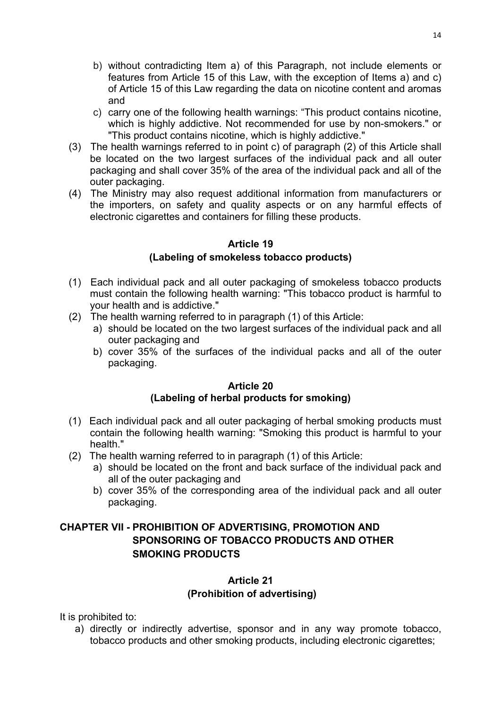- b) without contradicting Item a) of this Paragraph, not include elements or features from Article 15 of this Law, with the exception of Items a) and c) of Article 15 of this Law regarding the data on nicotine content and aromas and
- c) carry one of the following health warnings: "This product contains nicotine, which is highly addictive. Not recommended for use by non-smokers." or "This product contains nicotine, which is highly addictive."
- (3) The health warnings referred to in point c) of paragraph (2) of this Article shall be located on the two largest surfaces of the individual pack and all outer packaging and shall cover 35% of the area of the individual pack and all of the outer packaging.
- (4) The Ministry may also request additional information from manufacturers or the importers, on safety and quality aspects or on any harmful effects of electronic cigarettes and containers for filling these products.

## **(Labeling of smokeless tobacco products)**

- (1) Each individual pack and all outer packaging of smokeless tobacco products must contain the following health warning: "This tobacco product is harmful to your health and is addictive."
- (2) The health warning referred to in paragraph (1) of this Article:
	- a) should be located on the two largest surfaces of the individual pack and all outer packaging and
	- b) cover 35% of the surfaces of the individual packs and all of the outer packaging.

#### **Article 20 (Labeling of herbal products for smoking)**

- (1) Each individual pack and all outer packaging of herbal smoking products must contain the following health warning: "Smoking this product is harmful to your health."
- (2) The health warning referred to in paragraph (1) of this Article:
	- a) should be located on the front and back surface of the individual pack and all of the outer packaging and
	- b) cover 35% of the corresponding area of the individual pack and all outer packaging.

# **CHAPTER VII - PROHIBITION OF ADVERTISING, PROMOTION AND SPONSORING OF TOBACCO PRODUCTS AND OTHER SMOKING PRODUCTS**

## **Article 21**

## **(Prohibition of advertising)**

It is prohibited to:

a) directly or indirectly advertise, sponsor and in any way promote tobacco, tobacco products and other smoking products, including electronic cigarettes;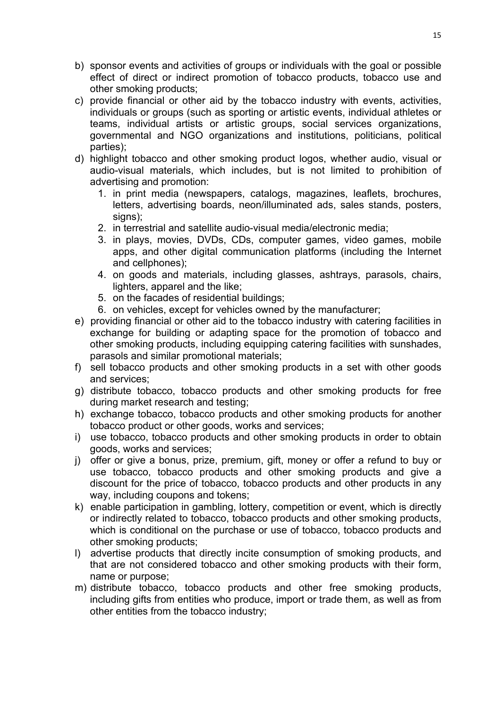- b) sponsor events and activities of groups or individuals with the goal or possible effect of direct or indirect promotion of tobacco products, tobacco use and other smoking products;
- c) provide financial or other aid by the tobacco industry with events, activities, individuals or groups (such as sporting or artistic events, individual athletes or teams, individual artists or artistic groups, social services organizations, governmental and NGO organizations and institutions, politicians, political parties);
- d) highlight tobacco and other smoking product logos, whether audio, visual or audio-visual materials, which includes, but is not limited to prohibition of advertising and promotion:
	- 1. in print media (newspapers, catalogs, magazines, leaflets, brochures, letters, advertising boards, neon/illuminated ads, sales stands, posters, signs);
	- 2. in terrestrial and satellite audio-visual media/electronic media;
	- 3. in plays, movies, DVDs, CDs, computer games, video games, mobile apps, and other digital communication platforms (including the Internet and cellphones);
	- 4. on goods and materials, including glasses, ashtrays, parasols, chairs, lighters, apparel and the like;
	- 5. on the facades of residential buildings;
	- 6. on vehicles, except for vehicles owned by the manufacturer;
- e) providing financial or other aid to the tobacco industry with catering facilities in exchange for building or adapting space for the promotion of tobacco and other smoking products, including equipping catering facilities with sunshades, parasols and similar promotional materials;
- f) sell tobacco products and other smoking products in a set with other goods and services;
- g) distribute tobacco, tobacco products and other smoking products for free during market research and testing;
- h) exchange tobacco, tobacco products and other smoking products for another tobacco product or other goods, works and services;
- i) use tobacco, tobacco products and other smoking products in order to obtain goods, works and services;
- j) offer or give a bonus, prize, premium, gift, money or offer a refund to buy or use tobacco, tobacco products and other smoking products and give a discount for the price of tobacco, tobacco products and other products in any way, including coupons and tokens;
- k) enable participation in gambling, lottery, competition or event, which is directly or indirectly related to tobacco, tobacco products and other smoking products, which is conditional on the purchase or use of tobacco, tobacco products and other smoking products;
- l) advertise products that directly incite consumption of smoking products, and that are not considered tobacco and other smoking products with their form, name or purpose;
- m) distribute tobacco, tobacco products and other free smoking products, including gifts from entities who produce, import or trade them, as well as from other entities from the tobacco industry;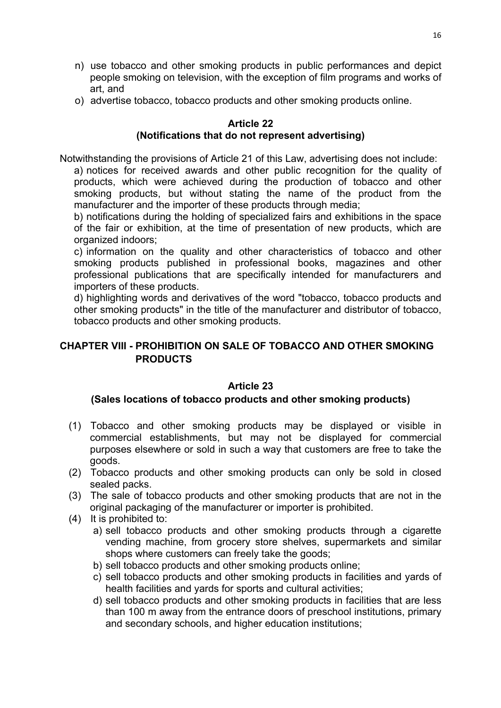- n) use tobacco and other smoking products in public performances and depict people smoking on television, with the exception of film programs and works of art, and
- o) advertise tobacco, tobacco products and other smoking products online.

# **(Notifications that do not represent advertising)**

Notwithstanding the provisions of Article 21 of this Law, advertising does not include:

a) notices for received awards and other public recognition for the quality of products, which were achieved during the production of tobacco and other smoking products, but without stating the name of the product from the manufacturer and the importer of these products through media;

b) notifications during the holding of specialized fairs and exhibitions in the space of the fair or exhibition, at the time of presentation of new products, which are organized indoors;

c) information on the quality and other characteristics of tobacco and other smoking products published in professional books, magazines and other professional publications that are specifically intended for manufacturers and importers of these products.

d) highlighting words and derivatives of the word "tobacco, tobacco products and other smoking products" in the title of the manufacturer and distributor of tobacco, tobacco products and other smoking products.

# **CHAPTER VIII - PROHIBITION ON SALE OF TOBACCO AND OTHER SMOKING PRODUCTS**

# **Article 23**

## **(Sales locations of tobacco products and other smoking products)**

- (1) Tobacco and other smoking products may be displayed or visible in commercial establishments, but may not be displayed for commercial purposes elsewhere or sold in such a way that customers are free to take the goods.
- (2) Tobacco products and other smoking products can only be sold in closed sealed packs.
- (3) The sale of tobacco products and other smoking products that are not in the original packaging of the manufacturer or importer is prohibited.
- (4) It is prohibited to:
	- a) sell tobacco products and other smoking products through a cigarette vending machine, from grocery store shelves, supermarkets and similar shops where customers can freely take the goods;
	- b) sell tobacco products and other smoking products online;
	- c) sell tobacco products and other smoking products in facilities and yards of health facilities and yards for sports and cultural activities;
	- d) sell tobacco products and other smoking products in facilities that are less than 100 m away from the entrance doors of preschool institutions, primary and secondary schools, and higher education institutions;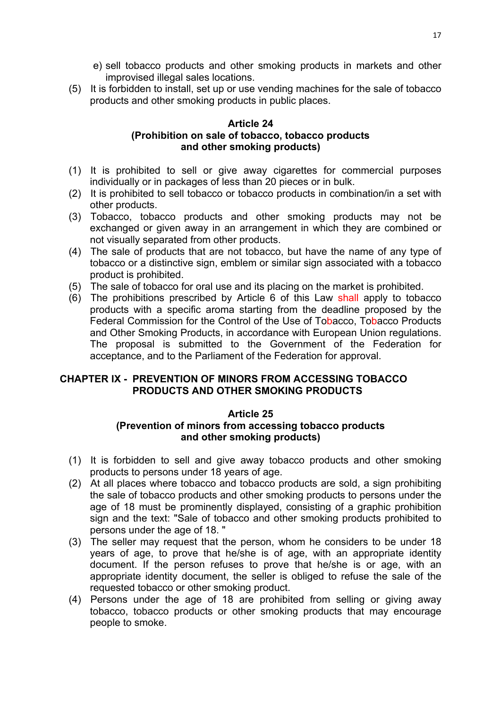- e) sell tobacco products and other smoking products in markets and other improvised illegal sales locations.
- (5) It is forbidden to install, set up or use vending machines for the sale of tobacco products and other smoking products in public places.

### **Article 24 (Prohibition on sale of tobacco, tobacco products and other smoking products)**

- (1) It is prohibited to sell or give away cigarettes for commercial purposes individually or in packages of less than 20 pieces or in bulk.
- (2) It is prohibited to sell tobacco or tobacco products in combination/in a set with other products.
- (3) Tobacco, tobacco products and other smoking products may not be exchanged or given away in an arrangement in which they are combined or not visually separated from other products.
- (4) The sale of products that are not tobacco, but have the name of any type of tobacco or a distinctive sign, emblem or similar sign associated with a tobacco product is prohibited.
- (5) The sale of tobacco for oral use and its placing on the market is prohibited.
- (6) The prohibitions prescribed by Article 6 of this Law shall apply to tobacco products with a specific aroma starting from the deadline proposed by the Federal Commission for the Control of the Use of Tobacco, Tobacco Products and Other Smoking Products, in accordance with European Union regulations. The proposal is submitted to the Government of the Federation for acceptance, and to the Parliament of the Federation for approval.

## **CHAPTER IX - PREVENTION OF MINORS FROM ACCESSING TOBACCO PRODUCTS AND OTHER SMOKING PRODUCTS**

## **Article 25**

## **(Prevention of minors from accessing tobacco products and other smoking products)**

- (1) It is forbidden to sell and give away tobacco products and other smoking products to persons under 18 years of age.
- (2) At all places where tobacco and tobacco products are sold, a sign prohibiting the sale of tobacco products and other smoking products to persons under the age of 18 must be prominently displayed, consisting of a graphic prohibition sign and the text: "Sale of tobacco and other smoking products prohibited to persons under the age of 18. "
- (3) The seller may request that the person, whom he considers to be under 18 years of age, to prove that he/she is of age, with an appropriate identity document. If the person refuses to prove that he/she is or age, with an appropriate identity document, the seller is obliged to refuse the sale of the requested tobacco or other smoking product.
- (4) Persons under the age of 18 are prohibited from selling or giving away tobacco, tobacco products or other smoking products that may encourage people to smoke.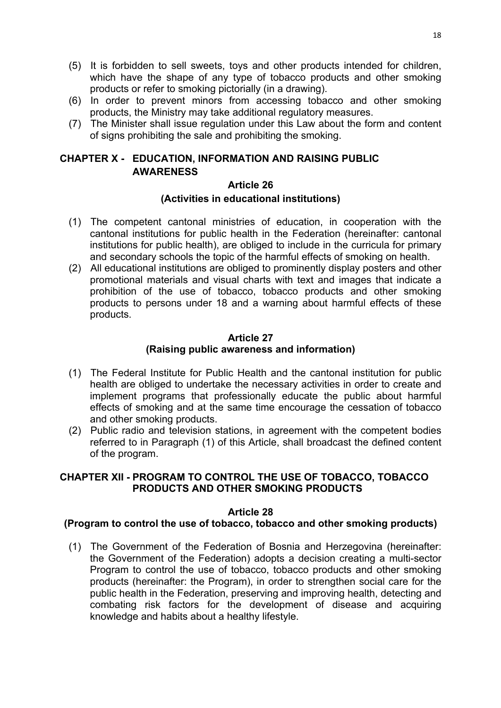- (5) It is forbidden to sell sweets, toys and other products intended for children, which have the shape of any type of tobacco products and other smoking products or refer to smoking pictorially (in a drawing).
- (6) In order to prevent minors from accessing tobacco and other smoking products, the Ministry may take additional regulatory measures.
- (7) The Minister shall issue regulation under this Law about the form and content of signs prohibiting the sale and prohibiting the smoking.

# **CHAPTER X - EDUCATION, INFORMATION AND RAISING PUBLIC AWARENESS**

## **Article 26**

## **(Activities in educational institutions)**

- (1) The competent cantonal ministries of education, in cooperation with the cantonal institutions for public health in the Federation (hereinafter: cantonal institutions for public health), are obliged to include in the curricula for primary and secondary schools the topic of the harmful effects of smoking on health.
- (2) All educational institutions are obliged to prominently display posters and other promotional materials and visual charts with text and images that indicate a prohibition of the use of tobacco, tobacco products and other smoking products to persons under 18 and a warning about harmful effects of these products.

## **Article 27 (Raising public awareness and information)**

- (1) The Federal Institute for Public Health and the cantonal institution for public health are obliged to undertake the necessary activities in order to create and implement programs that professionally educate the public about harmful effects of smoking and at the same time encourage the cessation of tobacco and other smoking products.
- (2) Public radio and television stations, in agreement with the competent bodies referred to in Paragraph (1) of this Article, shall broadcast the defined content of the program.

## **CHAPTER XII - PROGRAM TO CONTROL THE USE OF TOBACCO, TOBACCO PRODUCTS AND OTHER SMOKING PRODUCTS**

## **Article 28**

## **(Program to control the use of tobacco, tobacco and other smoking products)**

(1) The Government of the Federation of Bosnia and Herzegovina (hereinafter: the Government of the Federation) adopts a decision creating a multi-sector Program to control the use of tobacco, tobacco products and other smoking products (hereinafter: the Program), in order to strengthen social care for the public health in the Federation, preserving and improving health, detecting and combating risk factors for the development of disease and acquiring knowledge and habits about a healthy lifestyle.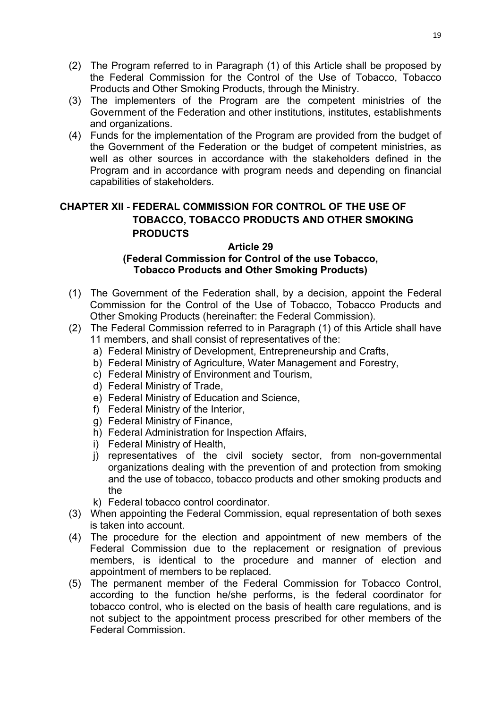- (2) The Program referred to in Paragraph (1) of this Article shall be proposed by the Federal Commission for the Control of the Use of Tobacco, Tobacco Products and Other Smoking Products, through the Ministry.
- (3) The implementers of the Program are the competent ministries of the Government of the Federation and other institutions, institutes, establishments and organizations.
- (4) Funds for the implementation of the Program are provided from the budget of the Government of the Federation or the budget of competent ministries, as well as other sources in accordance with the stakeholders defined in the Program and in accordance with program needs and depending on financial capabilities of stakeholders.

# **CHAPTER XII - FEDERAL COMMISSION FOR CONTROL OF THE USE OF TOBACCO, TOBACCO PRODUCTS AND OTHER SMOKING PRODUCTS**

#### **Article 29 (Federal Commission for Control of the use Tobacco, Tobacco Products and Other Smoking Products)**

- (1) The Government of the Federation shall, by a decision, appoint the Federal Commission for the Control of the Use of Tobacco, Tobacco Products and Other Smoking Products (hereinafter: the Federal Commission).
- (2) The Federal Commission referred to in Paragraph (1) of this Article shall have 11 members, and shall consist of representatives of the:
	- a) Federal Ministry of Development, Entrepreneurship and Crafts,
	- b) Federal Ministry of Agriculture, Water Management and Forestry,
	- c) Federal Ministry of Environment and Tourism,
	- d) Federal Ministry of Trade,
	- e) Federal Ministry of Education and Science,
	- f) Federal Ministry of the Interior,
	- g) Federal Ministry of Finance,
	- h) Federal Administration for Inspection Affairs,
	- i) Federal Ministry of Health,
	- j) representatives of the civil society sector, from non-governmental organizations dealing with the prevention of and protection from smoking and the use of tobacco, tobacco products and other smoking products and the
	- k) Federal tobacco control coordinator.
- (3) When appointing the Federal Commission, equal representation of both sexes is taken into account.
- (4) The procedure for the election and appointment of new members of the Federal Commission due to the replacement or resignation of previous members, is identical to the procedure and manner of election and appointment of members to be replaced.
- (5) The permanent member of the Federal Commission for Tobacco Control, according to the function he/she performs, is the federal coordinator for tobacco control, who is elected on the basis of health care regulations, and is not subject to the appointment process prescribed for other members of the Federal Commission.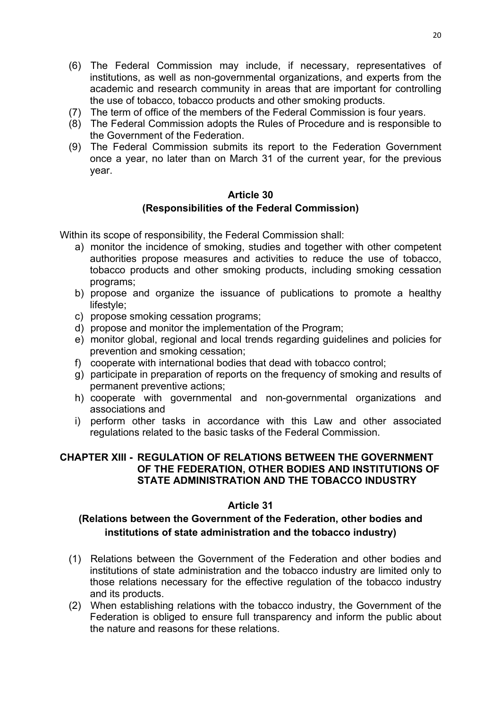- (6) The Federal Commission may include, if necessary, representatives of institutions, as well as non-governmental organizations, and experts from the academic and research community in areas that are important for controlling the use of tobacco, tobacco products and other smoking products.
- (7) The term of office of the members of the Federal Commission is four years.
- (8) The Federal Commission adopts the Rules of Procedure and is responsible to the Government of the Federation.
- (9) The Federal Commission submits its report to the Federation Government once a year, no later than on March 31 of the current year, for the previous year.

## **Article 30 (Responsibilities of the Federal Commission)**

Within its scope of responsibility, the Federal Commission shall:

- a) monitor the incidence of smoking, studies and together with other competent authorities propose measures and activities to reduce the use of tobacco, tobacco products and other smoking products, including smoking cessation programs;
- b) propose and organize the issuance of publications to promote a healthy lifestyle;
- c) propose smoking cessation programs;
- d) propose and monitor the implementation of the Program;
- e) monitor global, regional and local trends regarding guidelines and policies for prevention and smoking cessation;
- f) cooperate with international bodies that dead with tobacco control;
- g) participate in preparation of reports on the frequency of smoking and results of permanent preventive actions;
- h) cooperate with governmental and non-governmental organizations and associations and
- i) perform other tasks in accordance with this Law and other associated regulations related to the basic tasks of the Federal Commission.

## **CHAPTER XIII - REGULATION OF RELATIONS BETWEEN THE GOVERNMENT OF THE FEDERATION, OTHER BODIES AND INSTITUTIONS OF STATE ADMINISTRATION AND THE TOBACCO INDUSTRY**

# **Article 31**

# **(Relations between the Government of the Federation, other bodies and institutions of state administration and the tobacco industry)**

- (1) Relations between the Government of the Federation and other bodies and institutions of state administration and the tobacco industry are limited only to those relations necessary for the effective regulation of the tobacco industry and its products.
- (2) When establishing relations with the tobacco industry, the Government of the Federation is obliged to ensure full transparency and inform the public about the nature and reasons for these relations.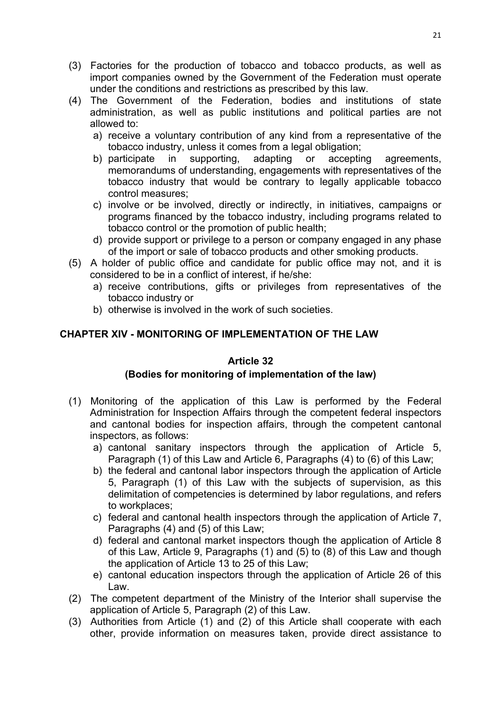- (3) Factories for the production of tobacco and tobacco products, as well as import companies owned by the Government of the Federation must operate under the conditions and restrictions as prescribed by this law.
- (4) The Government of the Federation, bodies and institutions of state administration, as well as public institutions and political parties are not allowed to:
	- a) receive a voluntary contribution of any kind from a representative of the tobacco industry, unless it comes from a legal obligation;
	- b) participate in supporting, adapting or accepting agreements, memorandums of understanding, engagements with representatives of the tobacco industry that would be contrary to legally applicable tobacco control measures;
	- c) involve or be involved, directly or indirectly, in initiatives, campaigns or programs financed by the tobacco industry, including programs related to tobacco control or the promotion of public health;
	- d) provide support or privilege to a person or company engaged in any phase of the import or sale of tobacco products and other smoking products.
- (5) A holder of public office and candidate for public office may not, and it is considered to be in a conflict of interest, if he/she:
	- a) receive contributions, gifts or privileges from representatives of the tobacco industry or
	- b) otherwise is involved in the work of such societies.

# **CHAPTER XIV - MONITORING OF IMPLEMENTATION OF THE LAW**

# **Article 32**

# **(Bodies for monitoring of implementation of the law)**

- (1) Monitoring of the application of this Law is performed by the Federal Administration for Inspection Affairs through the competent federal inspectors and cantonal bodies for inspection affairs, through the competent cantonal inspectors, as follows:
	- a) cantonal sanitary inspectors through the application of Article 5, Paragraph (1) of this Law and Article 6, Paragraphs (4) to (6) of this Law;
	- b) the federal and cantonal labor inspectors through the application of Article 5, Paragraph (1) of this Law with the subjects of supervision, as this delimitation of competencies is determined by labor regulations, and refers to workplaces;
	- c) federal and cantonal health inspectors through the application of Article 7, Paragraphs (4) and (5) of this Law;
	- d) federal and cantonal market inspectors though the application of Article 8 of this Law, Article 9, Paragraphs (1) and (5) to (8) of this Law and though the application of Article 13 to 25 of this Law;
	- e) cantonal education inspectors through the application of Article 26 of this Law.
- (2) The competent department of the Ministry of the Interior shall supervise the application of Article 5, Paragraph (2) of this Law.
- (3) Authorities from Article (1) and (2) of this Article shall cooperate with each other, provide information on measures taken, provide direct assistance to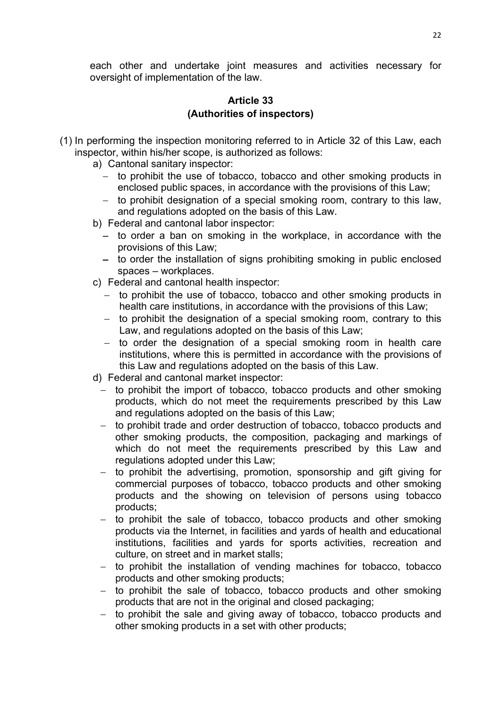each other and undertake joint measures and activities necessary for oversight of implementation of the law.

# **Article 33 (Authorities of inspectors)**

- (1) In performing the inspection monitoring referred to in Article 32 of this Law, each inspector, within his/her scope, is authorized as follows:
	- a) Cantonal sanitary inspector:
		- to prohibit the use of tobacco, tobacco and other smoking products in enclosed public spaces, in accordance with the provisions of this Law;
		- to prohibit designation of a special smoking room, contrary to this law, and regulations adopted on the basis of this Law.
	- b) Federal and cantonal labor inspector:
		- to order a ban on smoking in the workplace, in accordance with the provisions of this Law;
		- to order the installation of signs prohibiting smoking in public enclosed spaces – workplaces.
	- c) Federal and cantonal health inspector:
		- to prohibit the use of tobacco, tobacco and other smoking products in health care institutions, in accordance with the provisions of this Law;
		- to prohibit the designation of a special smoking room, contrary to this Law, and regulations adopted on the basis of this Law;
		- to order the designation of a special smoking room in health care institutions, where this is permitted in accordance with the provisions of this Law and regulations adopted on the basis of this Law.
	- d) Federal and cantonal market inspector:
		- to prohibit the import of tobacco, tobacco products and other smoking products, which do not meet the requirements prescribed by this Law and regulations adopted on the basis of this Law;
		- to prohibit trade and order destruction of tobacco, tobacco products and other smoking products, the composition, packaging and markings of which do not meet the requirements prescribed by this Law and regulations adopted under this Law;
		- to prohibit the advertising, promotion, sponsorship and gift giving for commercial purposes of tobacco, tobacco products and other smoking products and the showing on television of persons using tobacco products;
		- to prohibit the sale of tobacco, tobacco products and other smoking products via the Internet, in facilities and yards of health and educational institutions, facilities and yards for sports activities, recreation and culture, on street and in market stalls;
		- to prohibit the installation of vending machines for tobacco, tobacco products and other smoking products;
		- to prohibit the sale of tobacco, tobacco products and other smoking products that are not in the original and closed packaging;
		- to prohibit the sale and giving away of tobacco, tobacco products and other smoking products in a set with other products;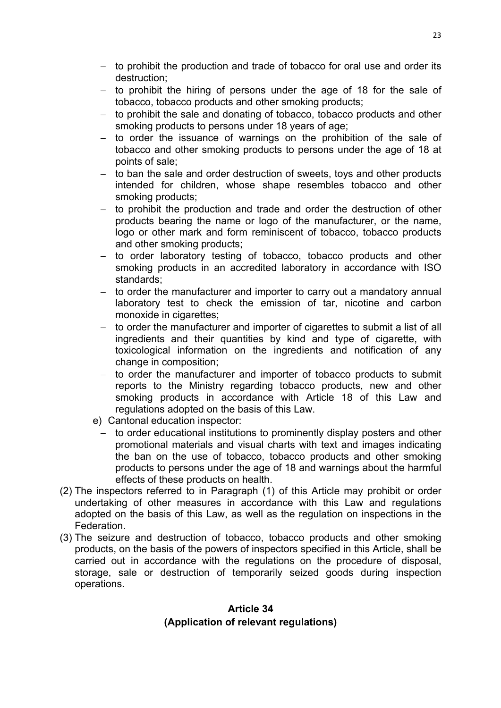- to prohibit the production and trade of tobacco for oral use and order its destruction;
- to prohibit the hiring of persons under the age of 18 for the sale of tobacco, tobacco products and other smoking products;
- to prohibit the sale and donating of tobacco, tobacco products and other smoking products to persons under 18 years of age;
- to order the issuance of warnings on the prohibition of the sale of tobacco and other smoking products to persons under the age of 18 at points of sale;
- to ban the sale and order destruction of sweets, toys and other products intended for children, whose shape resembles tobacco and other smoking products;
- to prohibit the production and trade and order the destruction of other products bearing the name or logo of the manufacturer, or the name, logo or other mark and form reminiscent of tobacco, tobacco products and other smoking products;
- to order laboratory testing of tobacco, tobacco products and other smoking products in an accredited laboratory in accordance with ISO standards;
- to order the manufacturer and importer to carry out a mandatory annual laboratory test to check the emission of tar, nicotine and carbon monoxide in cigarettes;
- to order the manufacturer and importer of cigarettes to submit a list of all ingredients and their quantities by kind and type of cigarette, with toxicological information on the ingredients and notification of any change in composition;
- to order the manufacturer and importer of tobacco products to submit reports to the Ministry regarding tobacco products, new and other smoking products in accordance with Article 18 of this Law and regulations adopted on the basis of this Law.
- e) Cantonal education inspector:
	- to order educational institutions to prominently display posters and other promotional materials and visual charts with text and images indicating the ban on the use of tobacco, tobacco products and other smoking products to persons under the age of 18 and warnings about the harmful effects of these products on health.
- (2) The inspectors referred to in Paragraph (1) of this Article may prohibit or order undertaking of other measures in accordance with this Law and regulations adopted on the basis of this Law, as well as the regulation on inspections in the Federation.
- (3) The seizure and destruction of tobacco, tobacco products and other smoking products, on the basis of the powers of inspectors specified in this Article, shall be carried out in accordance with the regulations on the procedure of disposal, storage, sale or destruction of temporarily seized goods during inspection operations.

## **Article 34 (Application of relevant regulations)**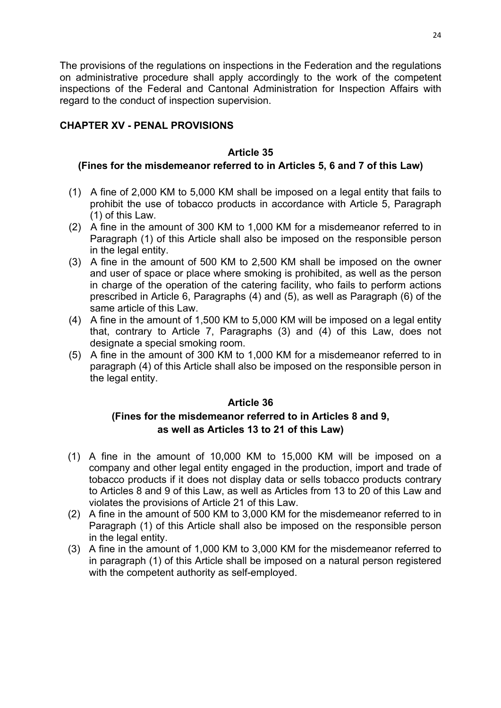The provisions of the regulations on inspections in the Federation and the regulations on administrative procedure shall apply accordingly to the work of the competent inspections of the Federal and Cantonal Administration for Inspection Affairs with regard to the conduct of inspection supervision.

## **CHAPTER XV - PENAL PROVISIONS**

## **Article 35**

## **(Fines for the misdemeanor referred to in Articles 5, 6 and 7 of this Law)**

- (1) A fine of 2,000 KM to 5,000 KM shall be imposed on a legal entity that fails to prohibit the use of tobacco products in accordance with Article 5, Paragraph (1) of this Law.
- (2) A fine in the amount of 300 KM to 1,000 KM for a misdemeanor referred to in Paragraph (1) of this Article shall also be imposed on the responsible person in the legal entity.
- (3) A fine in the amount of 500 KM to 2,500 KM shall be imposed on the owner and user of space or place where smoking is prohibited, as well as the person in charge of the operation of the catering facility, who fails to perform actions prescribed in Article 6, Paragraphs (4) and (5), as well as Paragraph (6) of the same article of this Law.
- (4) A fine in the amount of 1,500 KM to 5,000 KM will be imposed on a legal entity that, contrary to Article 7, Paragraphs (3) and (4) of this Law, does not designate a special smoking room.
- (5) A fine in the amount of 300 KM to 1,000 KM for a misdemeanor referred to in paragraph (4) of this Article shall also be imposed on the responsible person in the legal entity.

# **Article 36**

# **(Fines for the misdemeanor referred to in Articles 8 and 9, as well as Articles 13 to 21 of this Law)**

- (1) A fine in the amount of 10,000 KM to 15,000 KM will be imposed on a company and other legal entity engaged in the production, import and trade of tobacco products if it does not display data or sells tobacco products contrary to Articles 8 and 9 of this Law, as well as Articles from 13 to 20 of this Law and violates the provisions of Article 21 of this Law.
- (2) A fine in the amount of 500 KM to 3,000 KM for the misdemeanor referred to in Paragraph (1) of this Article shall also be imposed on the responsible person in the legal entity.
- (3) A fine in the amount of 1,000 KM to 3,000 KM for the misdemeanor referred to in paragraph (1) of this Article shall be imposed on a natural person registered with the competent authority as self-employed.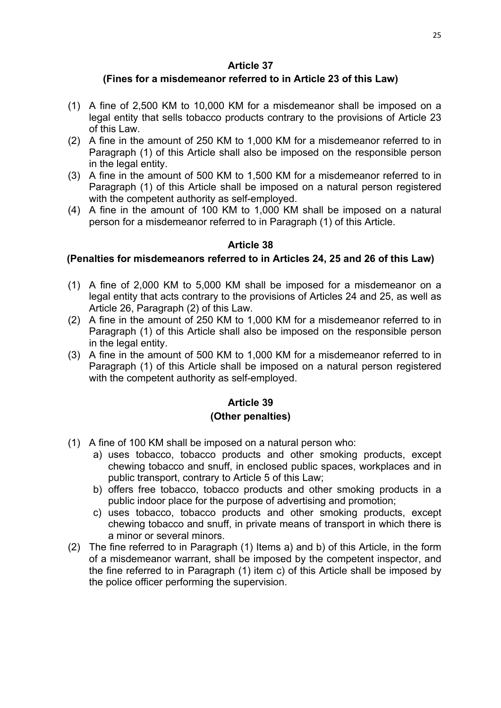# **(Fines for a misdemeanor referred to in Article 23 of this Law)**

- (1) A fine of 2,500 KM to 10,000 KM for a misdemeanor shall be imposed on a legal entity that sells tobacco products contrary to the provisions of Article 23 of this Law.
- (2) A fine in the amount of 250 KM to 1,000 KM for a misdemeanor referred to in Paragraph (1) of this Article shall also be imposed on the responsible person in the legal entity.
- (3) A fine in the amount of 500 KM to 1,500 KM for a misdemeanor referred to in Paragraph (1) of this Article shall be imposed on a natural person registered with the competent authority as self-employed.
- (4) A fine in the amount of 100 KM to 1,000 KM shall be imposed on a natural person for a misdemeanor referred to in Paragraph (1) of this Article.

# **Article 38**

## **(Penalties for misdemeanors referred to in Articles 24, 25 and 26 of this Law)**

- (1) A fine of 2,000 KM to 5,000 KM shall be imposed for a misdemeanor on a legal entity that acts contrary to the provisions of Articles 24 and 25, as well as Article 26, Paragraph (2) of this Law.
- (2) A fine in the amount of 250 KM to 1,000 KM for a misdemeanor referred to in Paragraph (1) of this Article shall also be imposed on the responsible person in the legal entity.
- (3) A fine in the amount of 500 KM to 1,000 KM for a misdemeanor referred to in Paragraph (1) of this Article shall be imposed on a natural person registered with the competent authority as self-employed.

# **Article 39**

## **(Other penalties)**

- (1) A fine of 100 KM shall be imposed on a natural person who:
	- a) uses tobacco, tobacco products and other smoking products, except chewing tobacco and snuff, in enclosed public spaces, workplaces and in public transport, contrary to Article 5 of this Law;
	- b) offers free tobacco, tobacco products and other smoking products in a public indoor place for the purpose of advertising and promotion;
	- c) uses tobacco, tobacco products and other smoking products, except chewing tobacco and snuff, in private means of transport in which there is a minor or several minors.
- (2) The fine referred to in Paragraph (1) Items a) and b) of this Article, in the form of a misdemeanor warrant, shall be imposed by the competent inspector, and the fine referred to in Paragraph (1) item c) of this Article shall be imposed by the police officer performing the supervision.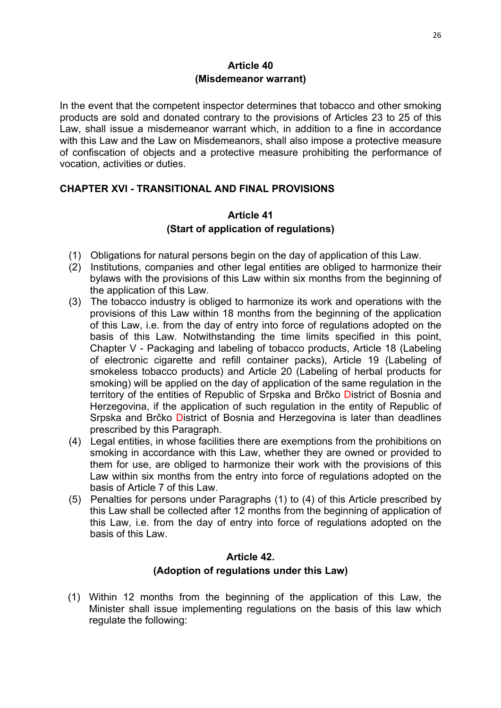In the event that the competent inspector determines that tobacco and other smoking products are sold and donated contrary to the provisions of Articles 23 to 25 of this Law, shall issue a misdemeanor warrant which, in addition to a fine in accordance with this Law and the Law on Misdemeanors, shall also impose a protective measure of confiscation of objects and a protective measure prohibiting the performance of vocation, activities or duties.

# **CHAPTER XVI - TRANSITIONAL AND FINAL PROVISIONS**

## **Article 41 (Start of application of regulations)**

- (1) Obligations for natural persons begin on the day of application of this Law.
- (2) Institutions, companies and other legal entities are obliged to harmonize their bylaws with the provisions of this Law within six months from the beginning of the application of this Law.
- (3) The tobacco industry is obliged to harmonize its work and operations with the provisions of this Law within 18 months from the beginning of the application of this Law, i.e. from the day of entry into force of regulations adopted on the basis of this Law. Notwithstanding the time limits specified in this point, Chapter V - Packaging and labeling of tobacco products, Article 18 (Labeling of electronic cigarette and refill container packs), Article 19 (Labeling of smokeless tobacco products) and Article 20 (Labeling of herbal products for smoking) will be applied on the day of application of the same regulation in the territory of the entities of Republic of Srpska and Brčko District of Bosnia and Herzegovina, if the application of such regulation in the entity of Republic of Srpska and Brčko District of Bosnia and Herzegovina is later than deadlines prescribed by this Paragraph.
- (4) Legal entities, in whose facilities there are exemptions from the prohibitions on smoking in accordance with this Law, whether they are owned or provided to them for use, are obliged to harmonize their work with the provisions of this Law within six months from the entry into force of regulations adopted on the basis of Article 7 of this Law.
- (5) Penalties for persons under Paragraphs (1) to (4) of this Article prescribed by this Law shall be collected after 12 months from the beginning of application of this Law, i.e. from the day of entry into force of regulations adopted on the basis of this Law.

## **Article 42. (Adoption of regulations under this Law)**

(1) Within 12 months from the beginning of the application of this Law, the Minister shall issue implementing regulations on the basis of this law which regulate the following: